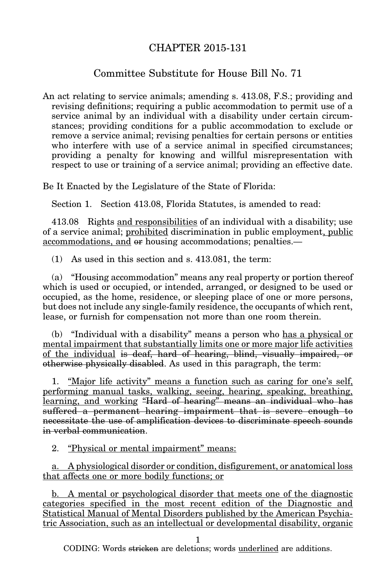## CHAPTER 2015-131

## Committee Substitute for House Bill No. 71

An act relating to service animals; amending s. 413.08, F.S.; providing and revising definitions; requiring a public accommodation to permit use of a service animal by an individual with a disability under certain circumstances; providing conditions for a public accommodation to exclude or remove a service animal; revising penalties for certain persons or entities who interfere with use of a service animal in specified circumstances; providing a penalty for knowing and willful misrepresentation with respect to use or training of a service animal; providing an effective date.

Be It Enacted by the Legislature of the State of Florida:

Section 1. Section 413.08, Florida Statutes, is amended to read:

413.08 Rights and responsibilities of an individual with a disability; use of a service animal; prohibited discrimination in public employment, public accommodations, and or housing accommodations; penalties.—

(1) As used in this section and s. 413.081, the term:

(a) "Housing accommodation" means any real property or portion thereof which is used or occupied, or intended, arranged, or designed to be used or occupied, as the home, residence, or sleeping place of one or more persons, but does not include any single-family residence, the occupants of which rent, lease, or furnish for compensation not more than one room therein.

(b) "Individual with a disability" means a person who has a physical or mental impairment that substantially limits one or more major life activities of the individual is deaf, hard of hearing, blind, visually impaired, or otherwise physically disabled. As used in this paragraph, the term:

1. "Major life activity" means a function such as caring for one's self, performing manual tasks, walking, seeing, hearing, speaking, breathing, learning, and working "Hard of hearing" means an individual who has suffered a permanent hearing impairment that is severe enough to necessitate the use of amplification devices to discriminate speech sounds in verbal communication.

2. "Physical or mental impairment" means:

a. A physiological disorder or condition, disfigurement, or anatomical loss that affects one or more bodily functions; or

b. A mental or psychological disorder that meets one of the diagnostic categories specified in the most recent edition of the Diagnostic and Statistical Manual of Mental Disorders published by the American Psychiatric Association, such as an intellectual or developmental disability, organic

1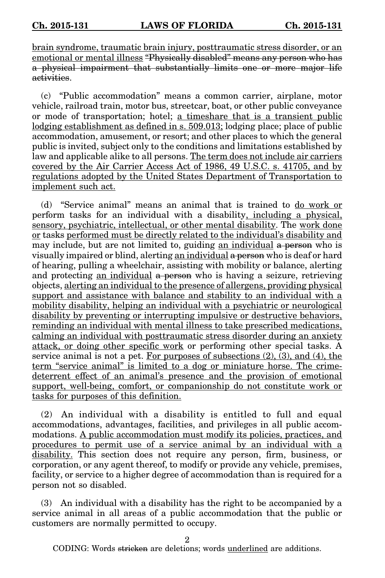brain syndrome, traumatic brain injury, posttraumatic stress disorder, or an emotional or mental illness "Physically disabled" means any person who has a physical impairment that substantially limits one or more major life activities.

(c) "Public accommodation" means a common carrier, airplane, motor vehicle, railroad train, motor bus, streetcar, boat, or other public conveyance or mode of transportation; hotel; a timeshare that is a transient public lodging establishment as defined in s. 509.013; lodging place; place of public accommodation, amusement, or resort; and other places to which the general public is invited, subject only to the conditions and limitations established by law and applicable alike to all persons. The term does not include air carriers covered by the Air Carrier Access Act of 1986, 49 U.S.C. s. 41705, and by regulations adopted by the United States Department of Transportation to implement such act.

(d) "Service animal" means an animal that is trained to do work or perform tasks for an individual with a disability, including a physical, sensory, psychiatric, intellectual, or other mental disability. The work done or tasks performed must be directly related to the individual's disability and may include, but are not limited to, guiding an individual a person who is visually impaired or blind, alerting an individual a person who is deaf or hard of hearing, pulling a wheelchair, assisting with mobility or balance, alerting and protecting an individual a person who is having a seizure, retrieving objects, alerting an individual to the presence of allergens, providing physical support and assistance with balance and stability to an individual with a mobility disability, helping an individual with a psychiatric or neurological disability by preventing or interrupting impulsive or destructive behaviors, reminding an individual with mental illness to take prescribed medications, calming an individual with posttraumatic stress disorder during an anxiety attack, or doing other specific work or performing other special tasks. A service animal is not a pet. For purposes of subsections  $(2)$ ,  $(3)$ , and  $(4)$ , the term "service animal" is limited to a dog or miniature horse. The crimedeterrent effect of an animal's presence and the provision of emotional support, well-being, comfort, or companionship do not constitute work or tasks for purposes of this definition.

(2) An individual with a disability is entitled to full and equal accommodations, advantages, facilities, and privileges in all public accommodations. A public accommodation must modify its policies, practices, and procedures to permit use of a service animal by an individual with a disability. This section does not require any person, firm, business, or corporation, or any agent thereof, to modify or provide any vehicle, premises, facility, or service to a higher degree of accommodation than is required for a person not so disabled.

(3) An individual with a disability has the right to be accompanied by a service animal in all areas of a public accommodation that the public or customers are normally permitted to occupy.

2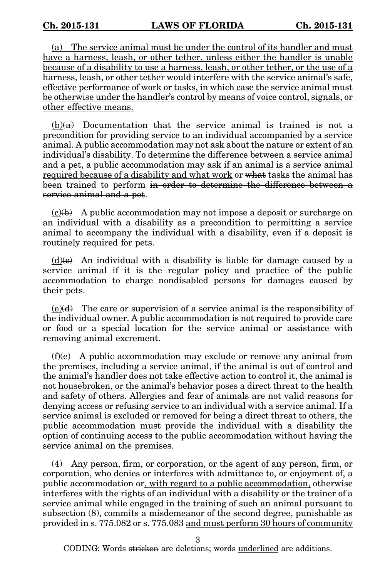(a) The service animal must be under the control of its handler and must have a harness, leash, or other tether, unless either the handler is unable because of a disability to use a harness, leash, or other tether, or the use of a harness, leash, or other tether would interfere with the service animal's safe, effective performance of work or tasks, in which case the service animal must be otherwise under the handler's control by means of voice control, signals, or other effective means.

 $(b)(a)$  Documentation that the service animal is trained is not a precondition for providing service to an individual accompanied by a service animal. A public accommodation may not ask about the nature or extent of an individual's disability. To determine the difference between a service animal and a pet, a public accommodation may ask if an animal is a service animal required because of a disability and what work or what tasks the animal has been trained to perform in order to determine the difference between a service animal and a pet.

 $(c)(b)$  A public accommodation may not impose a deposit or surcharge on an individual with a disability as a precondition to permitting a service animal to accompany the individual with a disability, even if a deposit is routinely required for pets.

 $(d)$ (e) An individual with a disability is liable for damage caused by a service animal if it is the regular policy and practice of the public accommodation to charge nondisabled persons for damages caused by their pets.

 $(e)(d)$  The care or supervision of a service animal is the responsibility of the individual owner. A public accommodation is not required to provide care or food or a special location for the service animal or assistance with removing animal excrement.

 $(f)(e)$  A public accommodation may exclude or remove any animal from the premises, including a service animal, if the animal is out of control and the animal's handler does not take effective action to control it, the animal is not housebroken, or the animal's behavior poses a direct threat to the health and safety of others. Allergies and fear of animals are not valid reasons for denying access or refusing service to an individual with a service animal. If a service animal is excluded or removed for being a direct threat to others, the public accommodation must provide the individual with a disability the option of continuing access to the public accommodation without having the service animal on the premises.

(4) Any person, firm, or corporation, or the agent of any person, firm, or corporation, who denies or interferes with admittance to, or enjoyment of, a public accommodation or, with regard to a public accommodation, otherwise interferes with the rights of an individual with a disability or the trainer of a service animal while engaged in the training of such an animal pursuant to subsection (8), commits a misdemeanor of the second degree, punishable as provided in s. 775.082 or s. 775.083 and must perform 30 hours of community

3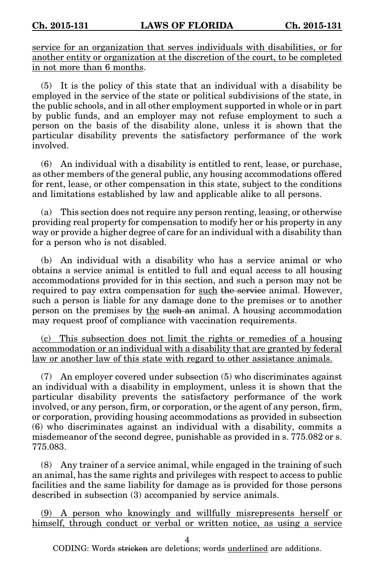service for an organization that serves individuals with disabilities, or for another entity or organization at the discretion of the court, to be completed in not more than 6 months.

(5) It is the policy of this state that an individual with a disability be employed in the service of the state or political subdivisions of the state, in the public schools, and in all other employment supported in whole or in part by public funds, and an employer may not refuse employment to such a person on the basis of the disability alone, unless it is shown that the particular disability prevents the satisfactory performance of the work involved.

(6) An individual with a disability is entitled to rent, lease, or purchase, as other members of the general public, any housing accommodations offered for rent, lease, or other compensation in this state, subject to the conditions and limitations established by law and applicable alike to all persons.

(a) This section does not require any person renting, leasing, or otherwise providing real property for compensation to modify her or his property in any way or provide a higher degree of care for an individual with a disability than for a person who is not disabled.

(b) An individual with a disability who has a service animal or who obtains a service animal is entitled to full and equal access to all housing accommodations provided for in this section, and such a person may not be required to pay extra compensation for such the service animal. However, such a person is liable for any damage done to the premises or to another person on the premises by the such an animal. A housing accommodation may request proof of compliance with vaccination requirements.

(c) This subsection does not limit the rights or remedies of a housing accommodation or an individual with a disability that are granted by federal law or another law of this state with regard to other assistance animals.

(7) An employer covered under subsection (5) who discriminates against an individual with a disability in employment, unless it is shown that the particular disability prevents the satisfactory performance of the work involved, or any person, firm, or corporation, or the agent of any person, firm, or corporation, providing housing accommodations as provided in subsection (6) who discriminates against an individual with a disability, commits a misdemeanor of the second degree, punishable as provided in s. 775.082 or s. 775.083.

(8) Any trainer of a service animal, while engaged in the training of such an animal, has the same rights and privileges with respect to access to public facilities and the same liability for damage as is provided for those persons described in subsection (3) accompanied by service animals.

(9) A person who knowingly and willfully misrepresents herself or himself, through conduct or verbal or written notice, as using a service

4